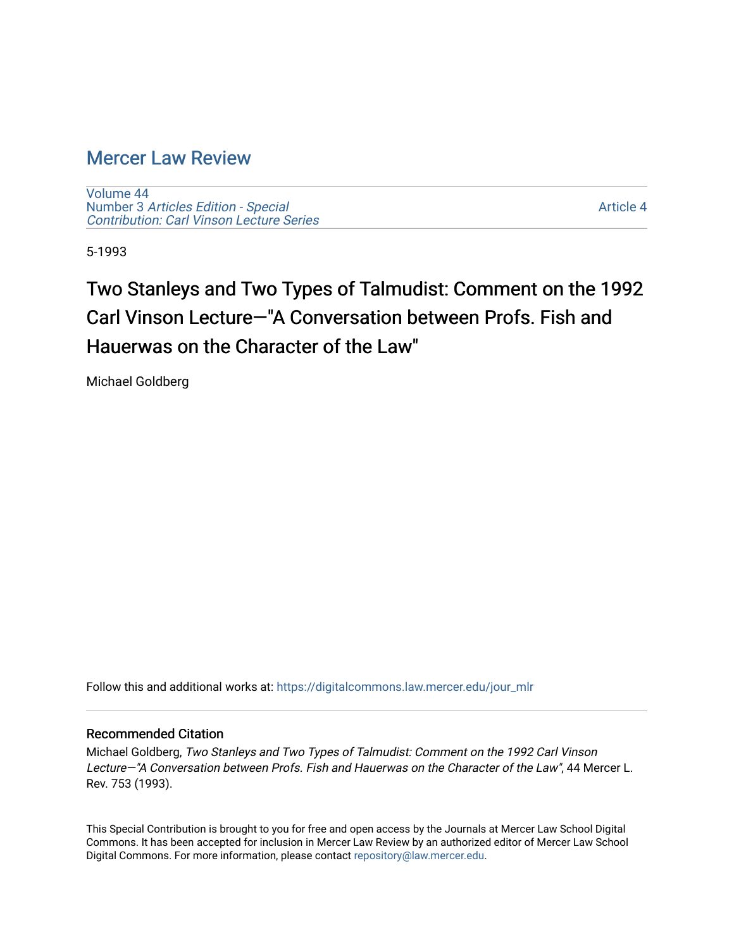### [Mercer Law Review](https://digitalcommons.law.mercer.edu/jour_mlr)

[Volume 44](https://digitalcommons.law.mercer.edu/jour_mlr/vol44) Number 3 [Articles Edition - Special](https://digitalcommons.law.mercer.edu/jour_mlr/vol44/iss3)  [Contribution: Carl Vinson Lecture Series](https://digitalcommons.law.mercer.edu/jour_mlr/vol44/iss3) 

[Article 4](https://digitalcommons.law.mercer.edu/jour_mlr/vol44/iss3/4) 

5-1993

## Two Stanleys and Two Types of Talmudist: Comment on the 1992 Carl Vinson Lecture—"A Conversation between Profs. Fish and Hauerwas on the Character of the Law"

Michael Goldberg

Follow this and additional works at: [https://digitalcommons.law.mercer.edu/jour\\_mlr](https://digitalcommons.law.mercer.edu/jour_mlr?utm_source=digitalcommons.law.mercer.edu%2Fjour_mlr%2Fvol44%2Fiss3%2F4&utm_medium=PDF&utm_campaign=PDFCoverPages)

### Recommended Citation

Michael Goldberg, Two Stanleys and Two Types of Talmudist: Comment on the 1992 Carl Vinson Lecture—"A Conversation between Profs. Fish and Hauerwas on the Character of the Law", 44 Mercer L. Rev. 753 (1993).

This Special Contribution is brought to you for free and open access by the Journals at Mercer Law School Digital Commons. It has been accepted for inclusion in Mercer Law Review by an authorized editor of Mercer Law School Digital Commons. For more information, please contact [repository@law.mercer.edu](mailto:repository@law.mercer.edu).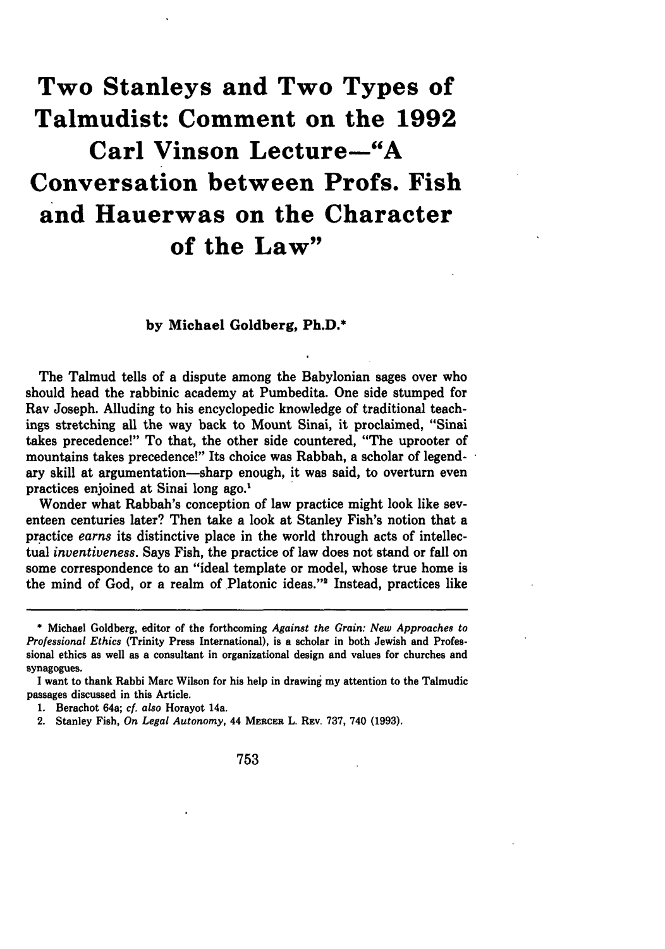# **Two Stanleys and Two Types of Talmudist: Comment on the 1992 Carl Vinson Lecture-"A Conversation between Profs. Fish and Hauerwas on the Character of the Law"**

#### **by Michael Goldberg, Ph.D.\***

The Talmud tells of a dispute among the Babylonian sages over who should head the rabbinic academy at Pumbedita. One side stumped for **Ray** Joseph. Alluding to his encyclopedic knowledge of traditional teachings stretching all the way back to Mount Sinai, it proclaimed, "Sinai takes precedence!" To that, the other side countered, "The uprooter of mountains takes precedence!" Its choice was Rabbah, a scholar of legendary skill at argumentation-sharp enough, it was said, to overturn even practices enjoined at Sinai long ago.'

Wonder what Rabbah's conception of law practice might look like seventeen centuries later? Then take a look at Stanley Fish's notion that a practice *earns* its distinctive place in the world through acts of intellectual *inventiveness.* Says Fish, the practice of law does not stand or fall on some correspondence to an "ideal template or model, whose true home is the mind of God, or a realm of Platonic ideas."2 Instead, practices like

753

**<sup>\*</sup>** Michael Goldberg, editor of the forthcoming *Against the Grain: New Approaches to Professional Ethics* (Trinity Press International), is a scholar in both Jewish and Professional ethics as well as a consultant in organizational design and values for churches and synagogues.

I want to thank Rabbi Marc Wilson for his help in drawing my attention to the Talmudic passages discussed in this Article.

<sup>1.</sup> Berachot 64a; *cf. also* Horayot 14a.

<sup>2.</sup> Stanley Fish, *On Legal Autonomy,* 44 MERCER L. **REv.** 737, 740 **(1993).**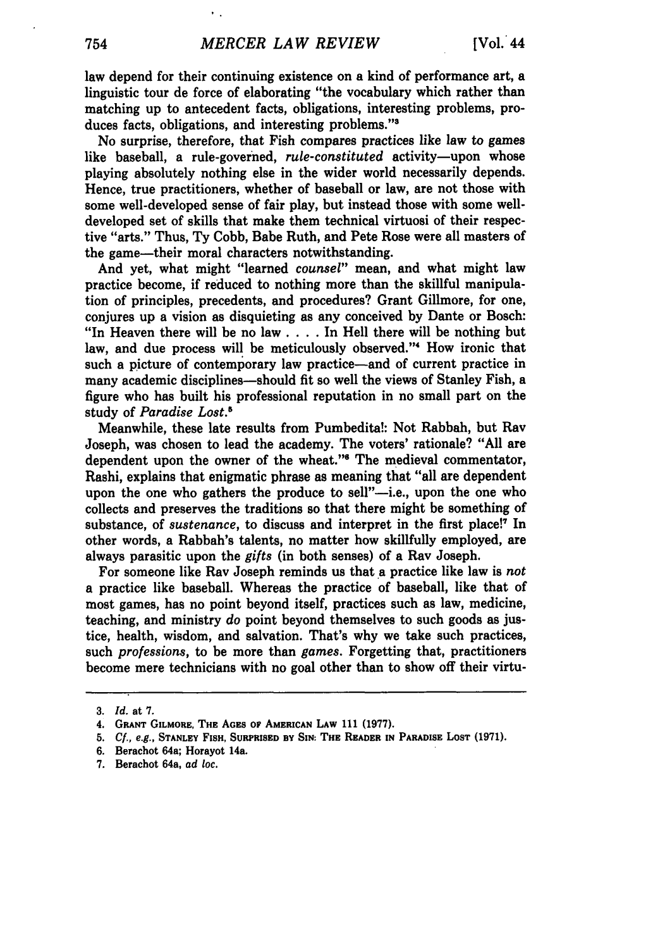law depend for their continuing existence on a kind of performance art, a linguistic tour de force of elaborating "the vocabulary which rather than matching up to antecedent facts, obligations, interesting problems, produces facts, obligations, and interesting problems."<sup>3</sup>

No surprise, therefore, that Fish compares practices like law to games like baseball, a rule-governed, *rule-constituted* activity--upon whose playing absolutely nothing else in the wider world necessarily depends. Hence, true practitioners, whether of baseball or law, are not those with some well-developed sense of fair play, but instead those with some welldeveloped set of skills that make them technical virtuosi of their respective "arts." Thus, Ty Cobb, Babe Ruth, and Pete Rose were all masters of the game-their moral characters notwithstanding.

And yet, what might "learned *counsel"* mean, and what might law practice become, if reduced to nothing more than the skillful manipulation of principles, precedents, and procedures? Grant Gillmore, for one, conjures up a vision as disquieting as any conceived **by** Dante or Bosch: "In Heaven there will be no law .... In Hell there will be nothing but law, and due process will be meticulously observed."<sup>4</sup> How ironic that such a picture of contemporary law practice-and of current practice in many academic disciplines—should fit so well the views of Stanley Fish, a figure who has built his professional reputation in no small part on the study of *Paradise Lost.3*

Meanwhile, these late results from Pumbedita!: Not Rabbah, but **Ray** Joseph, was chosen to lead the academy. The voters' rationale? **"All** are dependent upon the owner of the wheat."<sup>6</sup> The medieval commentator, Rashi, explains that enigmatic phrase as meaning that "all are dependent upon the one who gathers the produce to sell"-i.e., upon the one who collects and preserves the traditions so that there might be something of substance, of *sustenance*, to discuss and interpret in the first place!<sup>7</sup> In other words, a Rabbah's talents, no matter how skillfully employed, are always parasitic upon the *gifts* (in both senses) of a **Ray** Joseph.

For someone like **Ray** Joseph reminds us that a practice like law is *not* a practice like baseball. Whereas the practice of baseball, like that of most games, has no point beyond itself, practices such as law, medicine, teaching, and ministry *do* point beyond themselves to such goods as justice, health, wisdom, and salvation. That's why we take such practices, such *professions,* to be more than *games.* Forgetting that, practitioners become mere technicians with no goal other than to show off their virtu-

**<sup>3.</sup>** *Id.* **at 7.**

<sup>4.</sup> **GRANT GILMORE, THE** AGES Op **AMERICAN LAW 111 (1977).**

**<sup>5.</sup>** *Cf.,* e.g., **STANLEY FISH, SURPRISED BY SIN: THE READER IN PARADISE LOST (1971).**

**<sup>6.</sup>** Berachot 64a; Horayot 14a.

**<sup>7.</sup>** Berachot 64a, *ad* loc.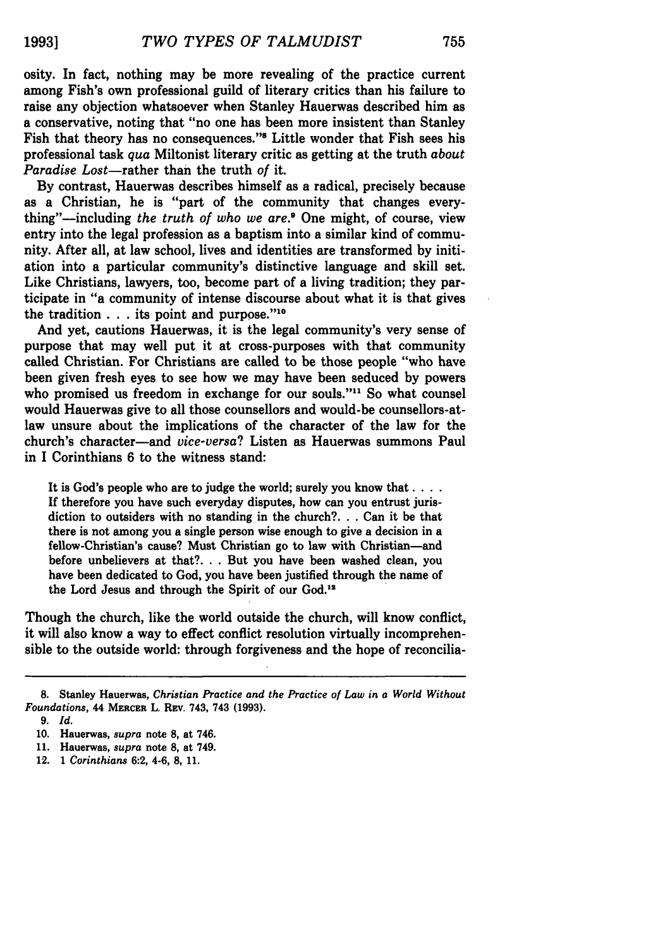osity. In fact, nothing may be more revealing of the practice current among Fish's own professional guild of literary critics than his failure to raise any objection whatsoever when Stanley Hauerwas described him as a conservative, noting that "no one has been more insistent than Stanley Fish that theory has no consequences."<sup>8</sup> Little wonder that Fish sees his professional task *qua* Miltonist literary critic as getting at the truth *about Paradise Lost-rather* than the truth *of* it.

By contrast, Hauerwas describes himself as a radical, precisely because as a Christian, he is "part of the community that changes everything"—including *the truth of who we are.*<sup>9</sup> One might, of course, view entry into the legal profession as a baptism into a similar kind of community. After all, at law school, lives and identities are transformed by initiation into a particular community's distinctive language and skill set. Like Christians, lawyers, too, become part of a living tradition; they participate in "a community of intense discourse about what it is that gives the tradition **. . .** its point and purpose."10

And yet, cautions Hauerwas, it is the legal community's very sense of purpose that may well put it at cross-purposes with that community called Christian. For Christians are called to be those people "who have been given fresh eyes to see how we may have been seduced **by** powers who promised us freedom in exchange for our souls."<sup>11</sup> So what counsel would Hauerwas give to all those counsellors and would-be counsellors-atlaw unsure about the implications of the character of the law for the church's character-and *vice-versa?* Listen as Hauerwas summons Paul in I Corinthians 6 to the witness stand:

It is God's people who are to judge the world; surely you know that **.... If** therefore you have such everyday disputes, how can you entrust jurisdiction to outsiders with no standing in the church?... Can it be that there is not among you a single person wise enough to give a decision in a fellow-Christian's cause? Must Christian go to law with Christian-and before unbelievers at that?... But you have been washed clean, you have been dedicated to God, you have been justified through the name of the Lord Jesus and through the Spirit of our God.<sup>12</sup>

Though the church, like the world outside the church, will know conflict, it will also know a way to effect conflict resolution virtually incomprehensible to the outside world: through forgiveness and the hope of reconcilia-

<sup>8.</sup> Stanley Hauerwas, *Christian Practice and the Practice of Law in a World Without Foundations,* 44 **MERCER** L. Rav. 743, 743 **(1993).**

**<sup>9.</sup>** *Id.*

**<sup>10.</sup>** Hauerwas, *supra* note **8,** at 746.

**<sup>11.</sup>** Hauerwas, *supra* note **8,** at 749.

<sup>12.</sup> **1** *Corinthians* **6:2, 4-6, 8, 11.**